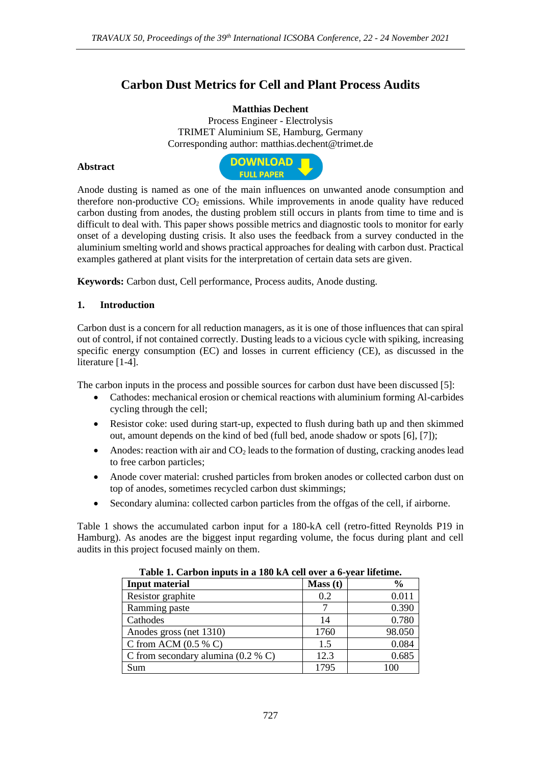# **Carbon Dust Metrics for Cell and Plant Process Audits**

### **Matthias Dechent**

Process Engineer - Electrolysis TRIMET Aluminium SE, Hamburg, Germany Corresponding author: matthias.dechent@trimet.de

### **Abstract**



Anode dusting is named as one of the main influences on unwanted anode consumption and therefore non-productive  $CO<sub>2</sub>$  emissions. While improvements in anode quality have reduced carbon dusting from anodes, the dusting problem still occurs in plants from time to time and is difficult to deal with. This paper shows possible metrics and diagnostic tools to monitor for early onset of a developing dusting crisis. It also uses the feedback from a survey conducted in the aluminium smelting world and shows practical approaches for dealing with carbon dust. Practical examples gathered at plant visits for the interpretation of certain data sets are given.

**Keywords:** Carbon dust, Cell performance, Process audits, Anode dusting.

## **1. Introduction**

Carbon dust is a concern for all reduction managers, as it is one of those influences that can spiral out of control, if not contained correctly. Dusting leads to a vicious cycle with spiking, increasing specific energy consumption (EC) and losses in current efficiency (CE), as discussed in the literature [1-4].

The carbon inputs in the process and possible sources for carbon dust have been discussed [5]:

- Cathodes: mechanical erosion or chemical reactions with aluminium forming Al-carbides cycling through the cell;
- Resistor coke: used during start-up, expected to flush during bath up and then skimmed out, amount depends on the kind of bed (full bed, anode shadow or spots [6], [7]);
- Anodes: reaction with air and  $CO<sub>2</sub>$  leads to the formation of dusting, cracking anodes lead to free carbon particles;
- Anode cover material: crushed particles from broken anodes or collected carbon dust on top of anodes, sometimes recycled carbon dust skimmings;
- Secondary alumina: collected carbon particles from the offgas of the cell, if airborne.

Table 1 shows the accumulated carbon input for a 180-kA cell (retro-fitted Reynolds P19 in Hamburg). As anodes are the biggest input regarding volume, the focus during plant and cell audits in this project focused mainly on them.

| Table 1. Calbon mputs in a Toy RA cen over a 0-year memme. |         |        |
|------------------------------------------------------------|---------|--------|
| <b>Input material</b>                                      | Mass(t) | $\%$   |
| Resistor graphite                                          | 0.2     | 0.011  |
| Ramming paste                                              |         | 0.390  |
| Cathodes                                                   | 14      | 0.780  |
| Anodes gross (net 1310)                                    | 1760    | 98.050 |
| C from ACM $(0.5 %$ C)                                     | 1.5     | 0.084  |
| C from secondary alumina $(0.2 %$ C)                       | 12.3    | 0.685  |
| Sum                                                        | 1795    | 100    |

**Table 1. Carbon inputs in a 180 kA cell over a 6-year lifetime.**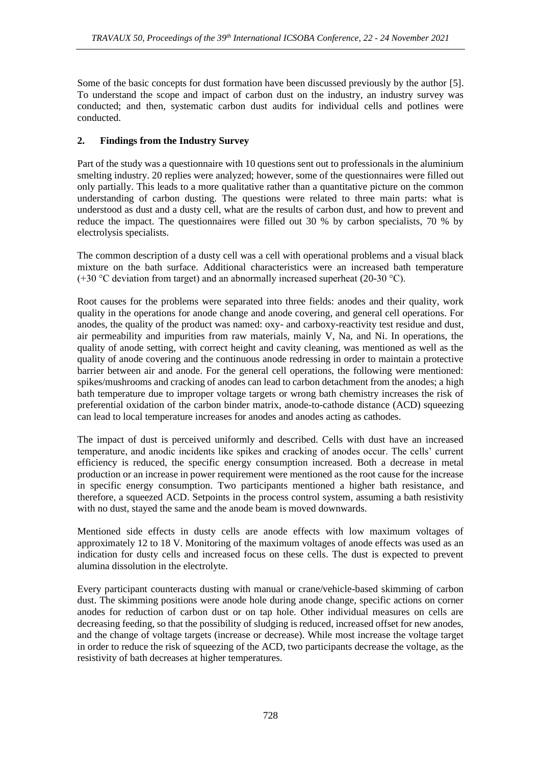Some of the basic concepts for dust formation have been discussed previously by the author [5]. To understand the scope and impact of carbon dust on the industry, an industry survey was conducted; and then, systematic carbon dust audits for individual cells and potlines were conducted.

# **2. Findings from the Industry Survey**

Part of the study was a questionnaire with 10 questions sent out to professionals in the aluminium smelting industry. 20 replies were analyzed; however, some of the questionnaires were filled out only partially. This leads to a more qualitative rather than a quantitative picture on the common understanding of carbon dusting. The questions were related to three main parts: what is understood as dust and a dusty cell, what are the results of carbon dust, and how to prevent and reduce the impact. The questionnaires were filled out 30 % by carbon specialists, 70 % by electrolysis specialists.

The common description of a dusty cell was a cell with operational problems and a visual black mixture on the bath surface. Additional characteristics were an increased bath temperature (+30  $\degree$ C deviation from target) and an abnormally increased superheat (20-30  $\degree$ C).

Root causes for the problems were separated into three fields: anodes and their quality, work quality in the operations for anode change and anode covering, and general cell operations. For anodes, the quality of the product was named: oxy- and carboxy-reactivity test residue and dust, air permeability and impurities from raw materials, mainly V, Na, and Ni. In operations, the quality of anode setting, with correct height and cavity cleaning, was mentioned as well as the quality of anode covering and the continuous anode redressing in order to maintain a protective barrier between air and anode. For the general cell operations, the following were mentioned: spikes/mushrooms and cracking of anodes can lead to carbon detachment from the anodes; a high bath temperature due to improper voltage targets or wrong bath chemistry increases the risk of preferential oxidation of the carbon binder matrix, anode-to-cathode distance (ACD) squeezing can lead to local temperature increases for anodes and anodes acting as cathodes.

The impact of dust is perceived uniformly and described. Cells with dust have an increased temperature, and anodic incidents like spikes and cracking of anodes occur. The cells' current efficiency is reduced, the specific energy consumption increased. Both a decrease in metal production or an increase in power requirement were mentioned as the root cause for the increase in specific energy consumption. Two participants mentioned a higher bath resistance, and therefore, a squeezed ACD. Setpoints in the process control system, assuming a bath resistivity with no dust, stayed the same and the anode beam is moved downwards.

Mentioned side effects in dusty cells are anode effects with low maximum voltages of approximately 12 to 18 V. Monitoring of the maximum voltages of anode effects was used as an indication for dusty cells and increased focus on these cells. The dust is expected to prevent alumina dissolution in the electrolyte.

Every participant counteracts dusting with manual or crane/vehicle-based skimming of carbon dust. The skimming positions were anode hole during anode change, specific actions on corner anodes for reduction of carbon dust or on tap hole. Other individual measures on cells are decreasing feeding, so that the possibility of sludging is reduced, increased offset for new anodes, and the change of voltage targets (increase or decrease). While most increase the voltage target in order to reduce the risk of squeezing of the ACD, two participants decrease the voltage, as the resistivity of bath decreases at higher temperatures.